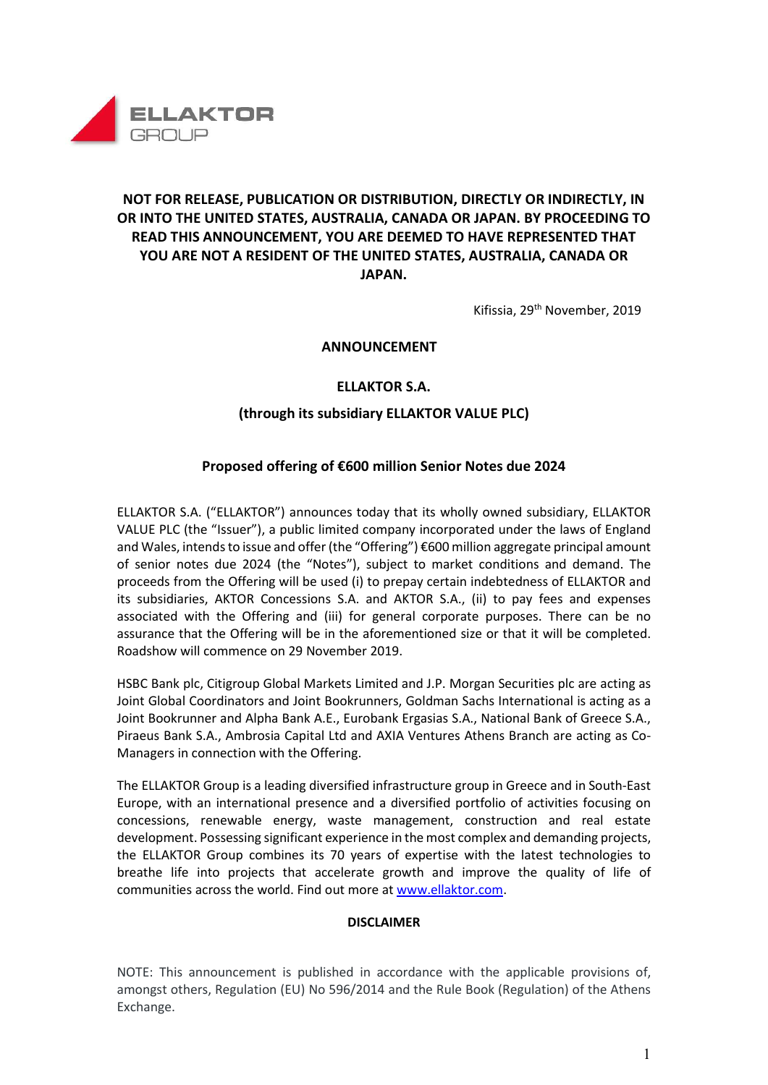

# NOT FOR RELEASE, PUBLICATION OR DISTRIBUTION, DIRECTLY OR INDIRECTLY, IN OR INTO THE UNITED STATES, AUSTRALIA, CANADA OR JAPAN. BY PROCEEDING TO READ THIS ANNOUNCEMENT, YOU ARE DEEMED TO HAVE REPRESENTED THAT YOU ARE NOT A RESIDENT OF THE UNITED STATES, AUSTRALIA, CANADA OR JAPAN.

Kifissia, 29th November, 2019

### ANNOUNCEMENT

## ELLAKTOR S.A.

### (through its subsidiary ELLAKTOR VALUE PLC)

### Proposed offering of €600 million Senior Notes due 2024

ELLAKTOR S.A. ("ELLAKTOR") announces today that its wholly owned subsidiary, ELLAKTOR VALUE PLC (the "Issuer"), a public limited company incorporated under the laws of England and Wales, intends to issue and offer (the "Offering") €600 million aggregate principal amount of senior notes due 2024 (the "Notes"), subject to market conditions and demand. The proceeds from the Offering will be used (i) to prepay certain indebtedness of ELLAKTOR and its subsidiaries, AKTOR Concessions S.A. and AKTOR S.A., (ii) to pay fees and expenses associated with the Offering and (iii) for general corporate purposes. There can be no assurance that the Offering will be in the aforementioned size or that it will be completed. Roadshow will commence on 29 November 2019.

HSBC Bank plc, Citigroup Global Markets Limited and J.P. Morgan Securities plc are acting as Joint Global Coordinators and Joint Bookrunners, Goldman Sachs International is acting as a Joint Bookrunner and Alpha Bank A.E., Eurobank Ergasias S.A., National Bank of Greece S.A., Piraeus Bank S.A., Ambrosia Capital Ltd and AXIA Ventures Athens Branch are acting as Co-Managers in connection with the Offering.

The ELLAKTOR Group is a leading diversified infrastructure group in Greece and in South-East Europe, with an international presence and a diversified portfolio of activities focusing on concessions, renewable energy, waste management, construction and real estate development. Possessing significant experience in the most complex and demanding projects, the ELLAKTOR Group combines its 70 years of expertise with the latest technologies to breathe life into projects that accelerate growth and improve the quality of life of communities across the world. Find out more at www.ellaktor.com.

#### **DISCLAIMER**

NOTE: This announcement is published in accordance with the applicable provisions of, amongst others, Regulation (EU) No 596/2014 and the Rule Book (Regulation) of the Athens Exchange.